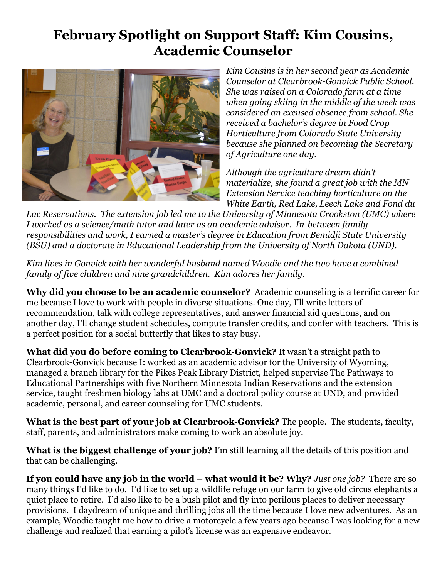## **February Spotlight on Support Staff: Kim Cousins, Academic Counselor**



*Kim Cousins is in her second year as Academic*  $Counselor$  *at Clearbrook-Gonvick Public School. She was raised on a Colorado farm at a time when going skiing in the middle of the week was considered an excused absence from school. She received a bachelor's degree in Food Crop Horticulture from Colorado State University because she planned on becoming the Secretary of Agriculture one day.*

*Although the agriculture dream didn't materialize, she found a great job with the MN Extension Service teaching horticulture on the White Earth, Red Lake, Leech Lake and Fond du*

*Lac Reservations. The extension job led me to the University of Minnesota Crookston (UMC) where I worked as a science/math tutor and later as an academic advisor. Inbetween family responsibilities and work, I earned a master's degree in Education from Bemidji State University (BSU) and a doctorate in Educational Leadership from the University of North Dakota (UND).*

*Kim lives in Gonvick with her wonderful husband named Woodie and the two have a combined family of five children and nine grandchildren. Kim adores her family.*

**Why did you choose to be an academic counselor?** Academic counseling is a terrific career for me because I love to work with people in diverse situations. One day, I'll write letters of recommendation, talk with college representatives, and answer financial aid questions, and on another day, I'll change student schedules, compute transfer credits, and confer with teachers. This is a perfect position for a social butterfly that likes to stay busy.

**What did you do before coming to Clearbrook-Gonvick?** It wasn't a straight path to Clearbrook-Gonvick because I: worked as an academic advisor for the University of Wyoming, managed a branch library for the Pikes Peak Library District, helped supervise The Pathways to Educational Partnerships with five Northern Minnesota Indian Reservations and the extension service, taught freshmen biology labs at UMC and a doctoral policy course at UND, and provided academic, personal, and career counseling for UMC students.

**What** is the best part of your job at Clearbrook-Gonvick? The people. The students, faculty, staff, parents, and administrators make coming to work an absolute joy.

**What is the biggest challenge of your job?** I'm still learning all the details of this position and that can be challenging.

**If you could have any job in the world – what would it be? Why?** *Just one job?* There are so many things I'd like to do. I'd like to set up a wildlife refuge on our farm to give old circus elephants a quiet place to retire. I'd also like to be a bush pilot and fly into perilous places to deliver necessary provisions. I daydream of unique and thrilling jobs all the time because I love new adventures. As an example, Woodie taught me how to drive a motorcycle a few years ago because I was looking for a new challenge and realized that earning a pilot's license was an expensive endeavor.